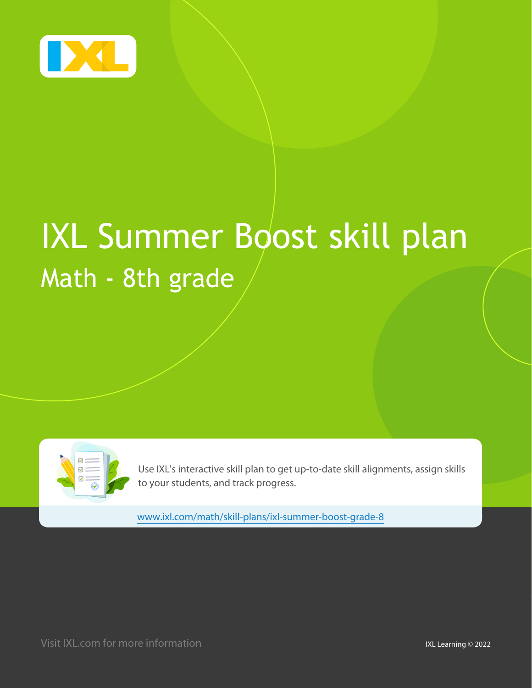

# IXL Summer Boost skill plan Math - 8th grade

| $\begin{array}{c}\n 1 \\ 0 \\ \hline\n 0\n \end{array}$<br>$\textcolor{red}{\textcircled{\small\tt{}}}$<br>$\circledcirc$ |  |
|---------------------------------------------------------------------------------------------------------------------------|--|
|                                                                                                                           |  |

Use IXL's interactive skill plan to get up-to-date skill alignments, assign skills to your students, and track progress.

www.ixl.com/math/skill-plans/ixl-summer-boost-grade-8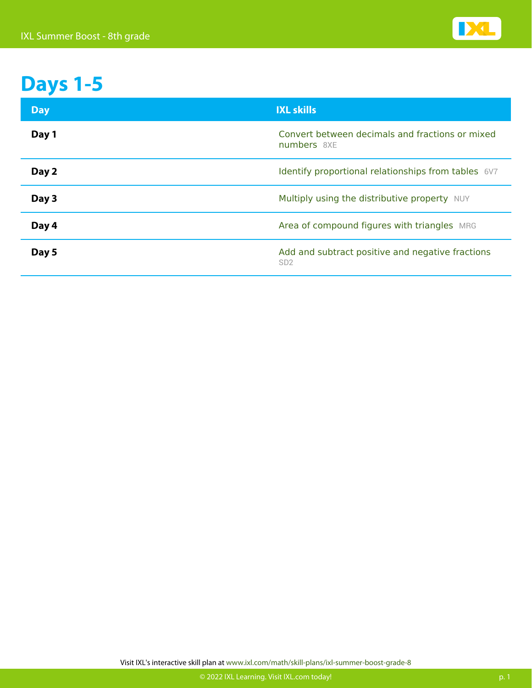

#### **Days 1-5**

| <b>Day</b> | <b>IXL skills</b>                                                   |
|------------|---------------------------------------------------------------------|
| Day 1      | Convert between decimals and fractions or mixed<br>numbers 8XE      |
| Day 2      | Identify proportional relationships from tables 6V7                 |
| Day 3      | Multiply using the distributive property NUY                        |
| Day 4      | Area of compound figures with triangles MRG                         |
| Day 5      | Add and subtract positive and negative fractions<br>SD <sub>2</sub> |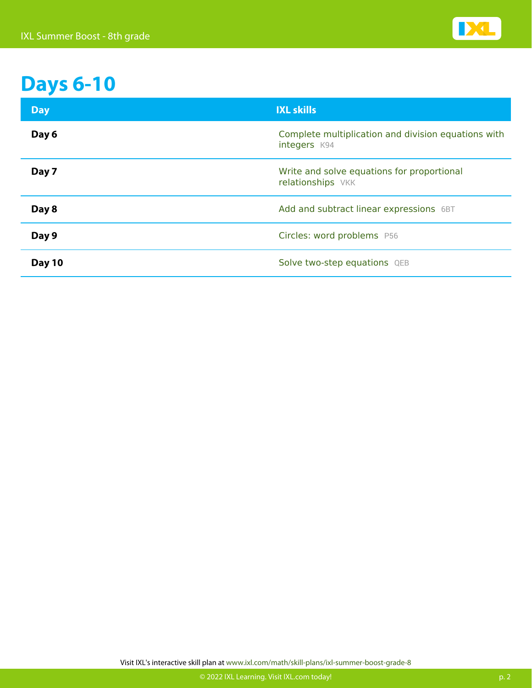

# **Days 6-10**

| <b>Day</b> | <b>IXL skills</b>                                                   |
|------------|---------------------------------------------------------------------|
| Day 6      | Complete multiplication and division equations with<br>integers K94 |
| Day 7      | Write and solve equations for proportional<br>relationships VKK     |
| Day 8      | Add and subtract linear expressions 6BT                             |
| Day 9      | Circles: word problems P56                                          |
| Day 10     | Solve two-step equations QEB                                        |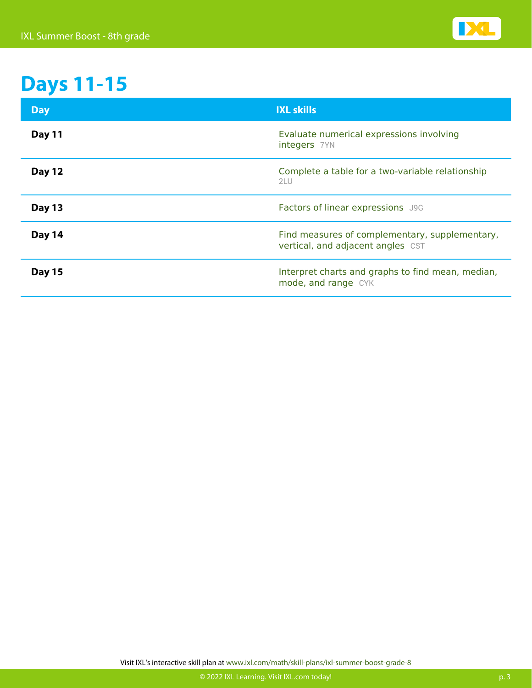

### **Days 11-15**

| <b>Day</b>    | <b>IXL skills</b>                                                                   |
|---------------|-------------------------------------------------------------------------------------|
| <b>Day 11</b> | Evaluate numerical expressions involving<br>integers 7YN                            |
| <b>Day 12</b> | Complete a table for a two-variable relationship<br>2LU                             |
| <b>Day 13</b> | Factors of linear expressions J9G                                                   |
| Day 14        | Find measures of complementary, supplementary,<br>vertical, and adjacent angles CST |
| <b>Day 15</b> | Interpret charts and graphs to find mean, median,<br>mode, and range CYK            |